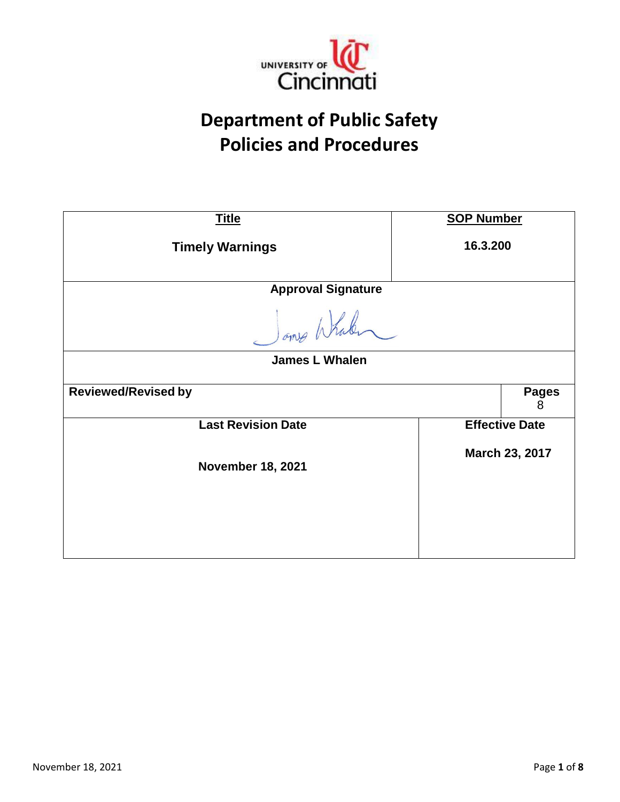

# **Department of Public Safety Policies and Procedures**

| <b>Title</b>                               | <b>SOP Number</b>     |                   |
|--------------------------------------------|-----------------------|-------------------|
| <b>Timely Warnings</b>                     | 16.3.200              |                   |
| <b>Approval Signature</b>                  |                       |                   |
| James Whalen                               |                       |                   |
| <b>James L Whalen</b>                      |                       |                   |
| <b>Reviewed/Revised by</b>                 |                       | <b>Pages</b><br>8 |
| <b>Last Revision Date</b>                  | <b>Effective Date</b> |                   |
| March 23, 2017<br><b>November 18, 2021</b> |                       |                   |
|                                            |                       |                   |
|                                            |                       |                   |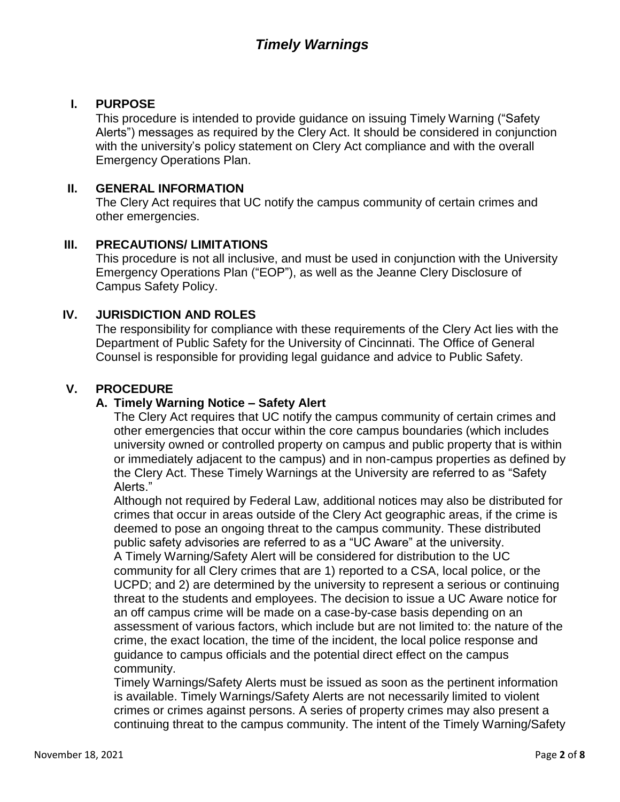### **I. PURPOSE**

This procedure is intended to provide guidance on issuing Timely Warning ("Safety Alerts") messages as required by the Clery Act. It should be considered in conjunction with the university's policy statement on Clery Act compliance and with the overall Emergency Operations Plan.

#### **II. GENERAL INFORMATION**

The Clery Act requires that UC notify the campus community of certain crimes and other emergencies.

### **III. PRECAUTIONS/ LIMITATIONS**

This procedure is not all inclusive, and must be used in conjunction with the University Emergency Operations Plan ("EOP"), as well as the Jeanne Clery Disclosure of Campus Safety Policy.

### **IV. JURISDICTION AND ROLES**

The responsibility for compliance with these requirements of the Clery Act lies with the Department of Public Safety for the University of Cincinnati. The Office of General Counsel is responsible for providing legal guidance and advice to Public Safety.

### **V. PROCEDURE**

#### **A. Timely Warning Notice – Safety Alert**

The Clery Act requires that UC notify the campus community of certain crimes and other emergencies that occur within the core campus boundaries (which includes university owned or controlled property on campus and public property that is within or immediately adjacent to the campus) and in non-campus properties as defined by the Clery Act. These Timely Warnings at the University are referred to as "Safety Alerts."

Although not required by Federal Law, additional notices may also be distributed for crimes that occur in areas outside of the Clery Act geographic areas, if the crime is deemed to pose an ongoing threat to the campus community. These distributed public safety advisories are referred to as a "UC Aware" at the university. A Timely Warning/Safety Alert will be considered for distribution to the UC community for all Clery crimes that are 1) reported to a CSA, local police, or the UCPD; and 2) are determined by the university to represent a serious or continuing threat to the students and employees. The decision to issue a UC Aware notice for an off campus crime will be made on a case-by-case basis depending on an assessment of various factors, which include but are not limited to: the nature of the crime, the exact location, the time of the incident, the local police response and guidance to campus officials and the potential direct effect on the campus community.

Timely Warnings/Safety Alerts must be issued as soon as the pertinent information is available. Timely Warnings/Safety Alerts are not necessarily limited to violent crimes or crimes against persons. A series of property crimes may also present a continuing threat to the campus community. The intent of the Timely Warning/Safety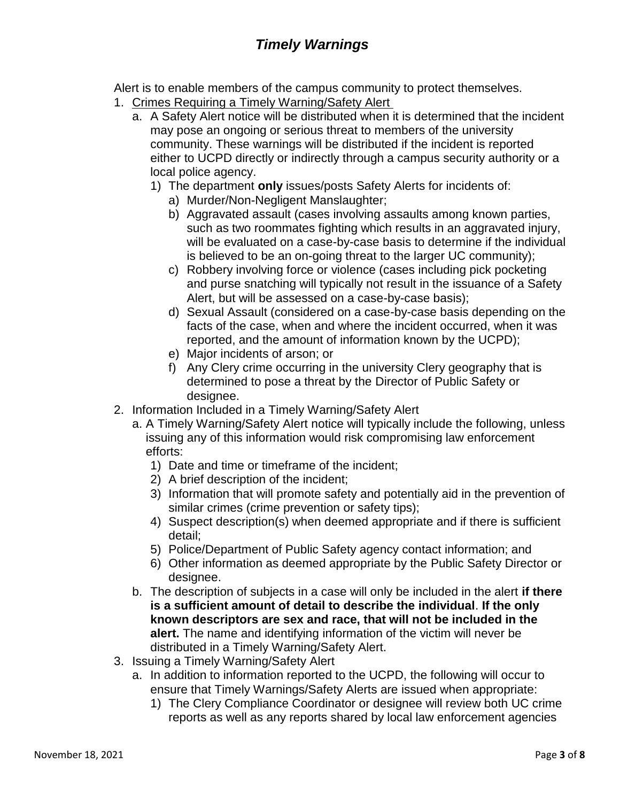Alert is to enable members of the campus community to protect themselves.

- 1. Crimes Requiring a Timely Warning/Safety Alert
	- a. A Safety Alert notice will be distributed when it is determined that the incident may pose an ongoing or serious threat to members of the university community. These warnings will be distributed if the incident is reported either to UCPD directly or indirectly through a campus security authority or a local police agency.
		- 1) The department **only** issues/posts Safety Alerts for incidents of:
			- a) Murder/Non-Negligent Manslaughter;
			- b) Aggravated assault (cases involving assaults among known parties, such as two roommates fighting which results in an aggravated injury, will be evaluated on a case-by-case basis to determine if the individual is believed to be an on-going threat to the larger UC community);
			- c) Robbery involving force or violence (cases including pick pocketing and purse snatching will typically not result in the issuance of a Safety Alert, but will be assessed on a case-by-case basis);
			- d) Sexual Assault (considered on a case-by-case basis depending on the facts of the case, when and where the incident occurred, when it was reported, and the amount of information known by the UCPD);
			- e) Major incidents of arson; or
			- f) Any Clery crime occurring in the university Clery geography that is determined to pose a threat by the Director of Public Safety or designee.
- 2. Information Included in a Timely Warning/Safety Alert
	- a. A Timely Warning/Safety Alert notice will typically include the following, unless issuing any of this information would risk compromising law enforcement efforts:
		- 1) Date and time or timeframe of the incident;
		- 2) A brief description of the incident;
		- 3) Information that will promote safety and potentially aid in the prevention of similar crimes (crime prevention or safety tips);
		- 4) Suspect description(s) when deemed appropriate and if there is sufficient detail;
		- 5) Police/Department of Public Safety agency contact information; and
		- 6) Other information as deemed appropriate by the Public Safety Director or designee.
	- b. The description of subjects in a case will only be included in the alert **if there is a sufficient amount of detail to describe the individual**. **If the only known descriptors are sex and race, that will not be included in the alert.** The name and identifying information of the victim will never be distributed in a Timely Warning/Safety Alert.
- 3. Issuing a Timely Warning/Safety Alert
	- a. In addition to information reported to the UCPD, the following will occur to ensure that Timely Warnings/Safety Alerts are issued when appropriate:
		- 1) The Clery Compliance Coordinator or designee will review both UC crime reports as well as any reports shared by local law enforcement agencies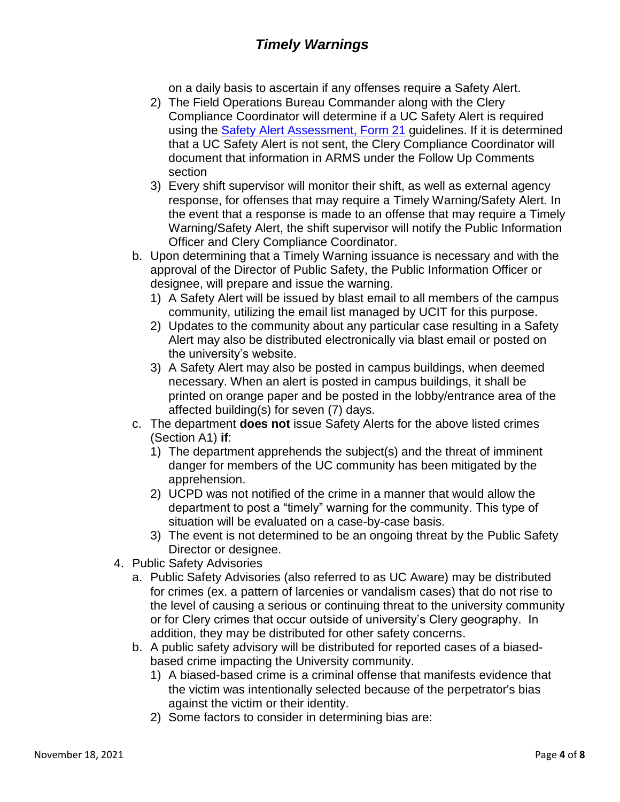on a daily basis to ascertain if any offenses require a Safety Alert.

- 2) The Field Operations Bureau Commander along with the Clery Compliance Coordinator will determine if a UC Safety Alert is required using the [Safety Alert Assessment, Form 21](https://powerdms.com/link/IDS/document/?id=1829913) guidelines. If it is determined that a UC Safety Alert is not sent, the Clery Compliance Coordinator will document that information in ARMS under the Follow Up Comments section
- 3) Every shift supervisor will monitor their shift, as well as external agency response, for offenses that may require a Timely Warning/Safety Alert. In the event that a response is made to an offense that may require a Timely Warning/Safety Alert, the shift supervisor will notify the Public Information Officer and Clery Compliance Coordinator.
- b. Upon determining that a Timely Warning issuance is necessary and with the approval of the Director of Public Safety, the Public Information Officer or designee, will prepare and issue the warning.
	- 1) A Safety Alert will be issued by blast email to all members of the campus community, utilizing the email list managed by UCIT for this purpose.
	- 2) Updates to the community about any particular case resulting in a Safety Alert may also be distributed electronically via blast email or posted on the university's website.
	- 3) A Safety Alert may also be posted in campus buildings, when deemed necessary. When an alert is posted in campus buildings, it shall be printed on orange paper and be posted in the lobby/entrance area of the affected building(s) for seven (7) days.
- c. The department **does not** issue Safety Alerts for the above listed crimes (Section A1) **if**:
	- 1) The department apprehends the subject(s) and the threat of imminent danger for members of the UC community has been mitigated by the apprehension.
	- 2) UCPD was not notified of the crime in a manner that would allow the department to post a "timely" warning for the community. This type of situation will be evaluated on a case-by-case basis.
	- 3) The event is not determined to be an ongoing threat by the Public Safety Director or designee.
- 4. Public Safety Advisories
	- a. Public Safety Advisories (also referred to as UC Aware) may be distributed for crimes (ex. a pattern of larcenies or vandalism cases) that do not rise to the level of causing a serious or continuing threat to the university community or for Clery crimes that occur outside of university's Clery geography. In addition, they may be distributed for other safety concerns.
	- b. A public safety advisory will be distributed for reported cases of a biasedbased crime impacting the University community.
		- 1) A biased-based crime is a criminal offense that manifests evidence that the victim was intentionally selected because of the perpetrator's bias against the victim or their identity.
		- 2) Some factors to consider in determining bias are: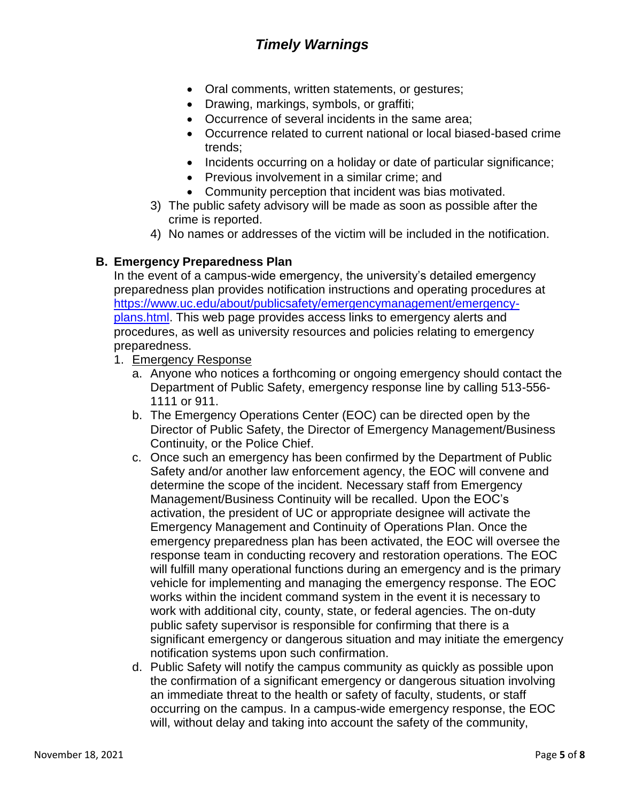- Oral comments, written statements, or gestures;
- Drawing, markings, symbols, or graffiti;
- Occurrence of several incidents in the same area;
- Occurrence related to current national or local biased-based crime trends;
- Incidents occurring on a holiday or date of particular significance;
- Previous involvement in a similar crime; and
- Community perception that incident was bias motivated.
- 3) The public safety advisory will be made as soon as possible after the crime is reported.
- 4) No names or addresses of the victim will be included in the notification.

#### **B. Emergency Preparedness Plan**

In the event of a campus-wide emergency, the university's detailed emergency preparedness plan provides notification instructions and operating procedures at [https://www.uc.edu/about/publicsafety/emergencymanagement/emergency](https://www.uc.edu/about/publicsafety/emergencymanagement/emergency-plans.html)[plans.html.](https://www.uc.edu/about/publicsafety/emergencymanagement/emergency-plans.html) This web page provides access links to emergency alerts and procedures, as well as university resources and policies relating to emergency preparedness.

- 1. Emergency Response
	- a. Anyone who notices a forthcoming or ongoing emergency should contact the Department of Public Safety, emergency response line by calling 513-556- 1111 or 911.
	- b. The Emergency Operations Center (EOC) can be directed open by the Director of Public Safety, the Director of Emergency Management/Business Continuity, or the Police Chief.
	- c. Once such an emergency has been confirmed by the Department of Public Safety and/or another law enforcement agency, the EOC will convene and determine the scope of the incident. Necessary staff from Emergency Management/Business Continuity will be recalled. Upon the EOC's activation, the president of UC or appropriate designee will activate the Emergency Management and Continuity of Operations Plan. Once the emergency preparedness plan has been activated, the EOC will oversee the response team in conducting recovery and restoration operations. The EOC will fulfill many operational functions during an emergency and is the primary vehicle for implementing and managing the emergency response. The EOC works within the incident command system in the event it is necessary to work with additional city, county, state, or federal agencies. The on-duty public safety supervisor is responsible for confirming that there is a significant emergency or dangerous situation and may initiate the emergency notification systems upon such confirmation.
	- d. Public Safety will notify the campus community as quickly as possible upon the confirmation of a significant emergency or dangerous situation involving an immediate threat to the health or safety of faculty, students, or staff occurring on the campus. In a campus-wide emergency response, the EOC will, without delay and taking into account the safety of the community,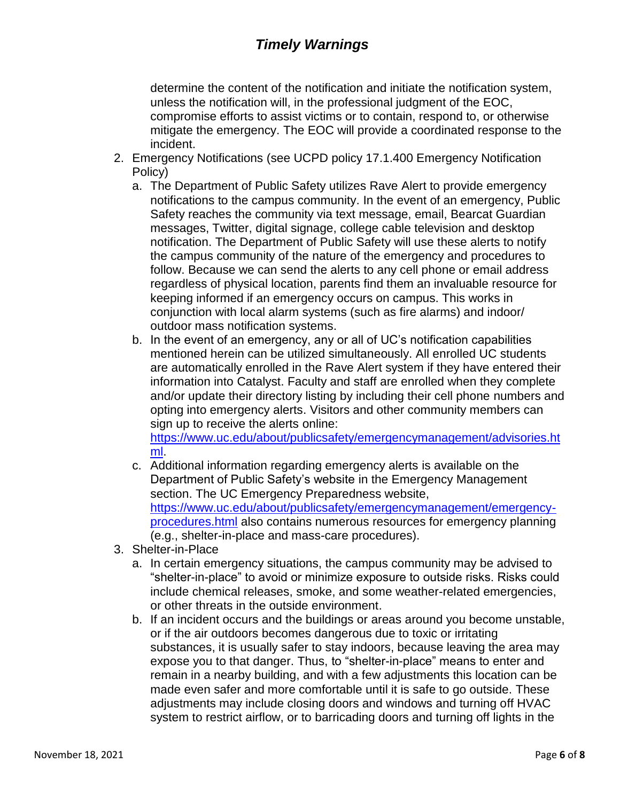determine the content of the notification and initiate the notification system, unless the notification will, in the professional judgment of the EOC, compromise efforts to assist victims or to contain, respond to, or otherwise mitigate the emergency. The EOC will provide a coordinated response to the incident.

- 2. Emergency Notifications (see UCPD policy 17.1.400 Emergency Notification Policy)
	- a. The Department of Public Safety utilizes Rave Alert to provide emergency notifications to the campus community. In the event of an emergency, Public Safety reaches the community via text message, email, Bearcat Guardian messages, Twitter, digital signage, college cable television and desktop notification. The Department of Public Safety will use these alerts to notify the campus community of the nature of the emergency and procedures to follow. Because we can send the alerts to any cell phone or email address regardless of physical location, parents find them an invaluable resource for keeping informed if an emergency occurs on campus. This works in conjunction with local alarm systems (such as fire alarms) and indoor/ outdoor mass notification systems.
	- b. In the event of an emergency, any or all of UC's notification capabilities mentioned herein can be utilized simultaneously. All enrolled UC students are automatically enrolled in the Rave Alert system if they have entered their information into Catalyst. Faculty and staff are enrolled when they complete and/or update their directory listing by including their cell phone numbers and opting into emergency alerts. Visitors and other community members can sign up to receive the alerts online:

[https://www.uc.edu/about/publicsafety/emergencymanagement/advisories.ht](https://www.uc.edu/about/publicsafety/emergencymanagement/advisories.html) [ml.](https://www.uc.edu/about/publicsafety/emergencymanagement/advisories.html)

- c. Additional information regarding emergency alerts is available on the Department of Public Safety's website in the Emergency Management section. The UC Emergency Preparedness website, https://www.uc.edu/about/publicsafety/emergencymanagement/emergencyprocedures.html also contains numerous resources for emergency planning (e.g., shelter-in-place and mass-care procedures).
- 3. Shelter-in-Place
	- a. In certain emergency situations, the campus community may be advised to "shelter-in-place" to avoid or minimize exposure to outside risks. Risks could include chemical releases, smoke, and some weather-related emergencies, or other threats in the outside environment.
	- b. If an incident occurs and the buildings or areas around you become unstable, or if the air outdoors becomes dangerous due to toxic or irritating substances, it is usually safer to stay indoors, because leaving the area may expose you to that danger. Thus, to "shelter-in-place" means to enter and remain in a nearby building, and with a few adjustments this location can be made even safer and more comfortable until it is safe to go outside. These adjustments may include closing doors and windows and turning off HVAC system to restrict airflow, or to barricading doors and turning off lights in the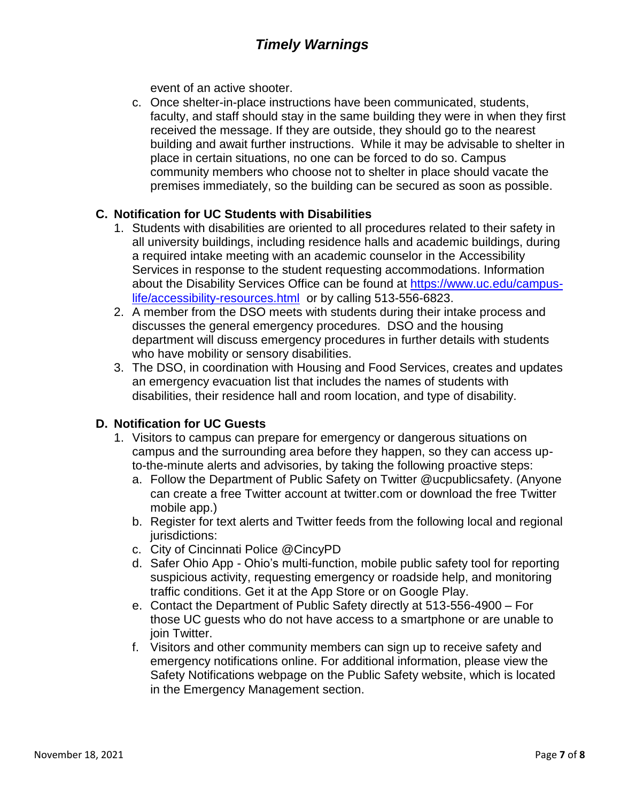event of an active shooter.

c. Once shelter-in-place instructions have been communicated, students, faculty, and staff should stay in the same building they were in when they first received the message. If they are outside, they should go to the nearest building and await further instructions. While it may be advisable to shelter in place in certain situations, no one can be forced to do so. Campus community members who choose not to shelter in place should vacate the premises immediately, so the building can be secured as soon as possible.

#### **C. Notification for UC Students with Disabilities**

- 1. Students with disabilities are oriented to all procedures related to their safety in all university buildings, including residence halls and academic buildings, during a required intake meeting with an academic counselor in the Accessibility Services in response to the student requesting accommodations. Information about the Disability Services Office can be found at [https://www.uc.edu/campus](https://www.uc.edu/campus-life/accessibility-resources.html)[life/accessibility-resources.html](https://www.uc.edu/campus-life/accessibility-resources.html) or by calling 513-556-6823.
- 2. A member from the DSO meets with students during their intake process and discusses the general emergency procedures. DSO and the housing department will discuss emergency procedures in further details with students who have mobility or sensory disabilities.
- 3. The DSO, in coordination with Housing and Food Services, creates and updates an emergency evacuation list that includes the names of students with disabilities, their residence hall and room location, and type of disability.

### **D. Notification for UC Guests**

- 1. Visitors to campus can prepare for emergency or dangerous situations on campus and the surrounding area before they happen, so they can access upto-the-minute alerts and advisories, by taking the following proactive steps:
	- a. Follow the Department of Public Safety on Twitter @ucpublicsafety. (Anyone can create a free Twitter account at twitter.com or download the free Twitter mobile app.)
	- b. Register for text alerts and Twitter feeds from the following local and regional jurisdictions:
	- c. City of Cincinnati Police @CincyPD
	- d. Safer Ohio App Ohio's multi-function, mobile public safety tool for reporting suspicious activity, requesting emergency or roadside help, and monitoring traffic conditions. Get it at the App Store or on Google Play.
	- e. Contact the Department of Public Safety directly at 513-556-4900 For those UC guests who do not have access to a smartphone or are unable to join Twitter.
	- f. Visitors and other community members can sign up to receive safety and emergency notifications online. For additional information, please view the Safety Notifications webpage on the Public Safety website, which is located in the Emergency Management section.